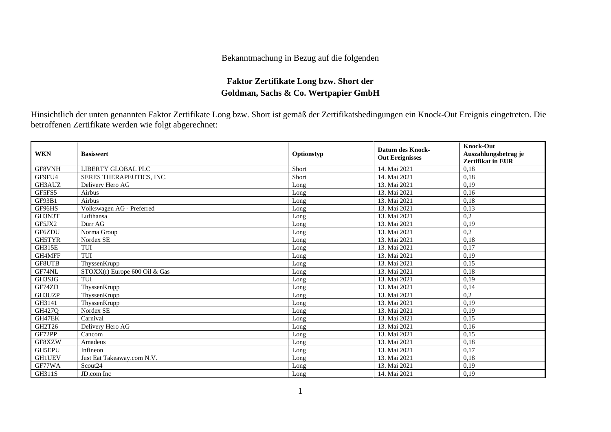## Bekanntmachung in Bezug auf die folgenden

## **Faktor Zertifikate Long bzw. Short der Goldman, Sachs & Co. Wertpapier GmbH**

Hinsichtlich der unten genannten Faktor Zertifikate Long bzw. Short ist gemäß der Zertifikatsbedingungen ein Knock-Out Ereignis eingetreten. Die betroffenen Zertifikate werden wie folgt abgerechnet:

| <b>WKN</b>    | <b>Basiswert</b>              | Optionstyp | <b>Datum des Knock-</b><br><b>Out Ereignisses</b> | <b>Knock-Out</b><br>Auszahlungsbetrag je<br><b>Zertifikat in EUR</b> |
|---------------|-------------------------------|------------|---------------------------------------------------|----------------------------------------------------------------------|
| GF8VNH        | LIBERTY GLOBAL PLC            | Short      | 14. Mai 2021                                      | 0.18                                                                 |
| GF9FU4        | SERES THERAPEUTICS, INC.      | Short      | 14. Mai 2021                                      | 0,18                                                                 |
| GH3AUZ        | Delivery Hero AG              | Long       | 13. Mai 2021                                      | 0.19                                                                 |
| GF5FS5        | Airbus                        | Long       | 13. Mai 2021                                      | 0,16                                                                 |
| GF93B1        | Airbus                        | Long       | 13. Mai 2021                                      | 0,18                                                                 |
| GF96HS        | Volkswagen AG - Preferred     | Long       | 13. Mai 2021                                      | 0,13                                                                 |
| GH3N3T        | Lufthansa                     | Long       | 13. Mai 2021                                      | 0,2                                                                  |
| GF5JX2        | Dürr AG                       | Long       | 13. Mai 2021                                      | 0.19                                                                 |
| GF6ZDU        | Norma Group                   | Long       | 13. Mai 2021                                      | 0,2                                                                  |
| <b>GH5TYR</b> | Nordex SE                     | Long       | 13. Mai 2021                                      | 0.18                                                                 |
| GH315E        | TUI                           | Long       | 13. Mai 2021                                      | 0,17                                                                 |
| GH4MFF        | TUI                           | Long       | 13. Mai 2021                                      | 0,19                                                                 |
| <b>GF8UTB</b> | ThyssenKrupp                  | Long       | 13. Mai 2021                                      | 0,15                                                                 |
| GF74NL        | STOXX(r) Europe 600 Oil & Gas | Long       | 13. Mai 2021                                      | 0,18                                                                 |
| GH3SJG        | TUI                           | Long       | 13. Mai 2021                                      | 0,19                                                                 |
| GF74ZD        | ThyssenKrupp                  | Long       | 13. Mai 2021                                      | 0,14                                                                 |
| GH3UZP        | ThyssenKrupp                  | Long       | 13. Mai 2021                                      | 0,2                                                                  |
| GH3141        | ThyssenKrupp                  | Long       | 13. Mai 2021                                      | 0,19                                                                 |
| GH427Q        | Nordex SE                     | Long       | 13. Mai 2021                                      | 0,19                                                                 |
| GH47EK        | Carnival                      | Long       | 13. Mai 2021                                      | 0,15                                                                 |
| GH2T26        | Delivery Hero AG              | Long       | 13. Mai 2021                                      | 0.16                                                                 |
| GF72PP        | Cancom                        | Long       | 13. Mai 2021                                      | 0,15                                                                 |
| GF8XZW        | Amadeus                       | Long       | 13. Mai 2021                                      | 0,18                                                                 |
| <b>GH5EPU</b> | Infineon                      | Long       | 13. Mai 2021                                      | 0,17                                                                 |
| <b>GH1UEV</b> | Just Eat Takeaway.com N.V.    | Long       | 13. Mai 2021                                      | 0,18                                                                 |
| GF77WA        | Scout <sub>24</sub>           | Long       | 13. Mai 2021                                      | 0,19                                                                 |
| GH311S        | JD.com Inc                    | Long       | 14. Mai 2021                                      | 0,19                                                                 |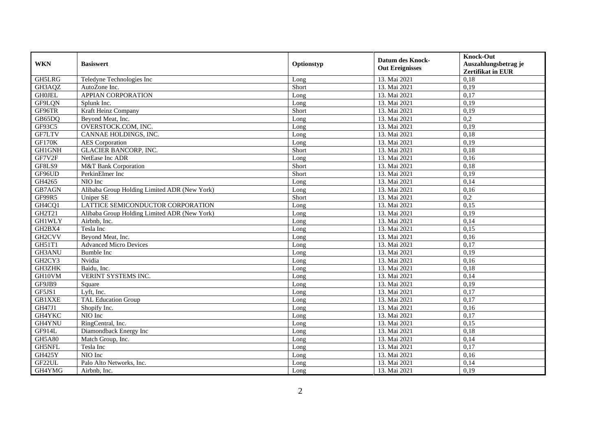| <b>WKN</b>          | <b>Basiswert</b>                             | Optionstyp | <b>Datum des Knock-</b><br><b>Out Ereignisses</b> | <b>Knock-Out</b><br>Auszahlungsbetrag je<br>Zertifikat in EUR |
|---------------------|----------------------------------------------|------------|---------------------------------------------------|---------------------------------------------------------------|
| GH5LRG              | Teledyne Technologies Inc                    | Long       | 13. Mai 2021                                      | 0,18                                                          |
| GH3AQZ              | AutoZone Inc.                                | Short      | 13. Mai 2021                                      | 0,19                                                          |
| <b>GHOJEL</b>       | APPIAN CORPORATION                           | Long       | 13. Mai 2021                                      | 0,17                                                          |
| GF9LQN              | Splunk Inc.                                  | Long       | 13. Mai 2021                                      | 0,19                                                          |
| GF96TR              | Kraft Heinz Company                          | Short      | 13. Mai 2021                                      | 0,19                                                          |
| GB65DQ              | Beyond Meat, Inc.                            | Long       | 13. Mai 2021                                      | $\overline{0.2}$                                              |
| $\overline{GF9}3C5$ | OVERSTOCK.COM, INC.                          | Long       | 13. Mai 2021                                      | 0,19                                                          |
| GF7LTV              | CANNAE HOLDINGS, INC.                        | Long       | 13. Mai 2021                                      | 0,18                                                          |
| <b>GF170K</b>       | <b>AES</b> Corporation                       | Long       | 13. Mai 2021                                      | 0,19                                                          |
| GH1GNH              | <b>GLACIER BANCORP, INC.</b>                 | Short      | 13. Mai 2021                                      | 0,18                                                          |
| GF7V2F              | NetEase Inc ADR                              | Long       | 13. Mai 2021                                      | 0,16                                                          |
| GF8LS9              | M&T Bank Corporation                         | Short      | 13. Mai 2021                                      | 0,18                                                          |
| GF96UD              | PerkinElmer Inc                              | Short      | 13. Mai 2021                                      | 0,19                                                          |
| GH4265              | NIO Inc                                      | Long       | 13. Mai 2021                                      | 0,14                                                          |
| GB7AGN              | Alibaba Group Holding Limited ADR (New York) | Long       | 13. Mai 2021                                      | 0,16                                                          |
| GF99R5              | <b>Uniper SE</b>                             | Short      | 13. Mai 2021                                      | 0,2                                                           |
| GH4CQ1              | LATTICE SEMICONDUCTOR CORPORATION            | Long       | 13. Mai 2021                                      | 0,15                                                          |
| GH2T21              | Alibaba Group Holding Limited ADR (New York) | Long       | 13. Mai 2021                                      | 0,19                                                          |
| <b>GH1WLY</b>       | Airbnb, Inc.                                 | Long       | 13. Mai 2021                                      | 0,14                                                          |
| GH2BX4              | Tesla Inc                                    | Long       | 13. Mai 2021                                      | 0,15                                                          |
| GH <sub>2</sub> CVV | Beyond Meat, Inc.                            | Long       | 13. Mai 2021                                      | 0,16                                                          |
| GH51T1              | <b>Advanced Micro Devices</b>                | Long       | 13. Mai 2021                                      | 0,17                                                          |
| GH3ANU              | <b>Bumble Inc</b>                            | Long       | 13. Mai 2021                                      | 0,19                                                          |
| GH2CY3              | Nvidia                                       | Long       | 13. Mai 2021                                      | 0,16                                                          |
| GH3ZHK              | Baidu. Inc.                                  | Long       | 13. Mai 2021                                      | 0,18                                                          |
| GH10VM              | VERINT SYSTEMS INC.                          | Long       | 13. Mai 2021                                      | 0,14                                                          |
| GF9JB9              | Square                                       | Long       | 13. Mai 2021                                      | 0,19                                                          |
| GF5JS1              | Lyft, Inc.                                   | Long       | 13. Mai 2021                                      | 0,17                                                          |
| <b>GB1XXE</b>       | <b>TAL Education Group</b>                   | Long       | 13. Mai 2021                                      | 0,17                                                          |
| GH47J1              | Shopify Inc.                                 | Long       | 13. Mai 2021                                      | 0,16                                                          |
| GH4YKC              | NIO Inc                                      | Long       | 13. Mai 2021                                      | 0,17                                                          |
| GH4YNU              | RingCentral, Inc.                            | Long       | 13. Mai 2021                                      | 0,15                                                          |
| GF914L              | Diamondback Energy Inc                       | Long       | 13. Mai 2021                                      | 0,18                                                          |
| <b>GH5A80</b>       | Match Group, Inc.                            | Long       | 13. Mai 2021                                      | 0,14                                                          |
| GH5NFL              | Tesla Inc                                    | Long       | 13. Mai 2021                                      | 0,17                                                          |
| <b>GH425Y</b>       | NIO Inc                                      | Long       | 13. Mai 2021                                      | 0,16                                                          |
| GF22UL              | Palo Alto Networks, Inc.                     | Long       | 13. Mai 2021                                      | 0,14                                                          |
| GH4YMG              | Airbnb, Inc.                                 | Long       | 13. Mai 2021                                      | 0,19                                                          |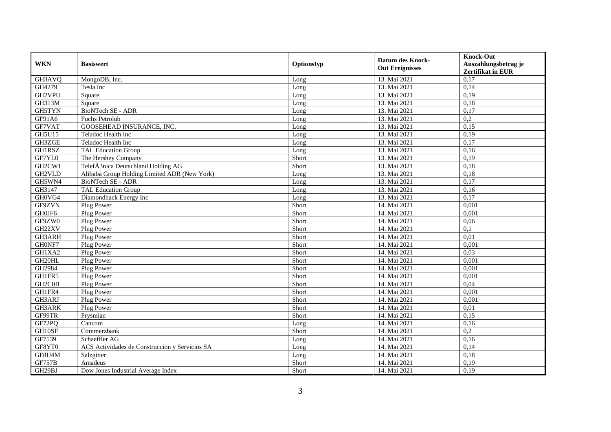| <b>WKN</b>                       | <b>Basiswert</b>                               | Optionstyp | <b>Datum des Knock-</b><br><b>Out Ereignisses</b> | <b>Knock-Out</b><br>Auszahlungsbetrag je<br>Zertifikat in EUR |
|----------------------------------|------------------------------------------------|------------|---------------------------------------------------|---------------------------------------------------------------|
| GH3AVQ                           | MongoDB, Inc.                                  | Long       | 13. Mai 2021                                      | 0,17                                                          |
| GH4279                           | Tesla Inc                                      | Long       | 13. Mai 2021                                      | 0,14                                                          |
| GH2VPU                           | Square                                         | Long       | 13. Mai 2021                                      | 0,19                                                          |
| GH313M                           | Square                                         | Long       | 13. Mai 2021                                      | 0,18                                                          |
| GH5TYN                           | <b>BioNTech SE - ADR</b>                       | Long       | 13. Mai 2021                                      | 0,17                                                          |
| GF91A6                           | Fuchs Petrolub                                 | Long       | 13. Mai 2021                                      | $\overline{0.2}$                                              |
| GF7VAT                           | GOOSEHEAD INSURANCE, INC.                      | Long       | 13. Mai 2021                                      | 0,15                                                          |
| <b>GH5U15</b>                    | Teladoc Health Inc                             | Long       | 13. Mai 2021                                      | 0,19                                                          |
| GH3ZGE                           | Teladoc Health Inc                             | Long       | 13. Mai 2021                                      | 0,17                                                          |
| GH1RSZ                           | <b>TAL Education Group</b>                     | Long       | 13. Mai 2021                                      | 0,16                                                          |
| GF7YL0                           | The Hershey Company                            | Short      | 13. Mai 2021                                      | 0,19                                                          |
| GH2CW1                           | TelefÃ3nica Deutschland Holding AG             | Short      | 13. Mai 2021                                      | 0,18                                                          |
| GH2VLD                           | Alibaba Group Holding Limited ADR (New York)   | Long       | 13. Mai 2021                                      | 0,18                                                          |
| GH5WN4                           | <b>BioNTech SE - ADR</b>                       | Long       | 13. Mai 2021                                      | 0,17                                                          |
| GH3147                           | <b>TAL Education Group</b>                     | Long       | 13. Mai 2021                                      | 0,16                                                          |
| GH0VG4                           | Diamondback Energy Inc                         | Long       | 13. Mai 2021                                      | 0,17                                                          |
| GF9ZVN                           | Plug Power                                     | Short      | 14. Mai 2021                                      | 0,001                                                         |
| GH0JF6                           | Plug Power                                     | Short      | 14. Mai 2021                                      | 0,001                                                         |
| GF9ZW0                           | Plug Power                                     | Short      | 14. Mai 2021                                      | 0,06                                                          |
| GH22XV                           | Plug Power                                     | Short      | 14. Mai 2021                                      | $\overline{0,1}$                                              |
| GH3ARH                           | Plug Power                                     | Short      | 14. Mai 2021                                      | 0,01                                                          |
| GH0NF7                           | Plug Power                                     | Short      | 14. Mai 2021                                      | 0,001                                                         |
| GH1XA2                           | Plug Power                                     | Short      | 14. Mai 2021                                      | 0,03                                                          |
| GH20HL                           | Plug Power                                     | Short      | 14. Mai 2021                                      | 0,001                                                         |
| GH2984                           | Plug Power                                     | Short      | 14. Mai 2021                                      | 0.001                                                         |
| GH1FR5                           | Plug Power                                     | Short      | 14. Mai 2021                                      | 0,001                                                         |
| GH <sub>2</sub> C <sub>0</sub> B | Plug Power                                     | Short      | 14. Mai 2021                                      | 0,04                                                          |
| GH1FR4                           | Plug Power                                     | Short      | 14. Mai 2021                                      | 0,001                                                         |
| GH3ARJ                           | Plug Power                                     | Short      | 14. Mai 2021                                      | 0,001                                                         |
| GH3ARK                           | Plug Power                                     | Short      | 14. Mai 2021                                      | 0,01                                                          |
| GF99TR                           | Prysmian                                       | Short      | 14. Mai 2021                                      | 0,15                                                          |
| GF72PQ                           | Cancom                                         | Long       | 14. Mai 2021                                      | 0,16                                                          |
| GH10SF                           | Commerzbank                                    | Short      | 14. Mai 2021                                      | 0,2                                                           |
| GF7539                           | Schaeffler AG                                  | Long       | 14. Mai 2021                                      | 0,16                                                          |
| GF8YT0                           | ACS Actividades de Construccion y Servicios SA | Long       | 14. Mai 2021                                      | 0,14                                                          |
| GF8U4M                           | Salzgitter                                     | Long       | 14. Mai 2021                                      | 0,18                                                          |
| <b>GF757B</b>                    | Amadeus                                        | Short      | 14. Mai 2021                                      | 0,19                                                          |
| GH29BJ                           | Dow Jones Industrial Average Index             | Short      | 14. Mai 2021                                      | 0,19                                                          |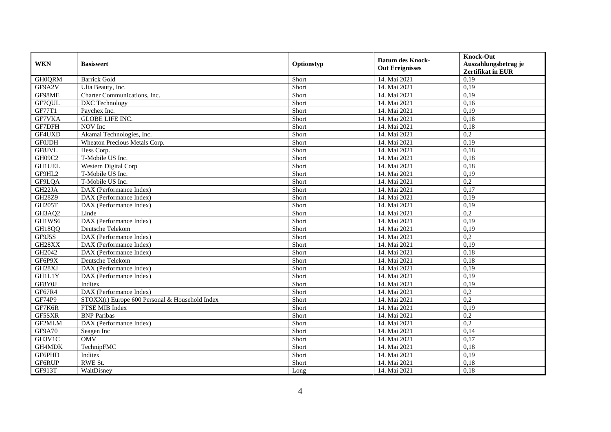| <b>WKN</b>          | <b>Basiswert</b>                               | Optionstyp | <b>Datum des Knock-</b> | <b>Knock-Out</b>         |
|---------------------|------------------------------------------------|------------|-------------------------|--------------------------|
|                     |                                                |            | <b>Out Ereignisses</b>  | Auszahlungsbetrag je     |
|                     |                                                |            |                         | <b>Zertifikat in EUR</b> |
| <b>GH0QRM</b>       | <b>Barrick Gold</b>                            | Short      | 14. Mai 2021            | 0,19                     |
| GF9A2V              | Ulta Beauty, Inc.                              | Short      | 14. Mai 2021            | 0,19                     |
| GF98ME              | Charter Communications, Inc.                   | Short      | 14. Mai 2021            | 0,19                     |
| GF7QUL              | DXC Technology                                 | Short      | 14. Mai 2021            | 0,16                     |
| GF77T1              | Paychex Inc.                                   | Short      | 14. Mai 2021            | 0,19                     |
| GF7VKA              | <b>GLOBE LIFE INC.</b>                         | Short      | 14. Mai 2021            | 0,18                     |
| GF7DFH              | NOV Inc                                        | Short      | 14. Mai 2021            | 0,18                     |
| GF4UXD              | Akamai Technologies, Inc.                      | Short      | 14. Mai 2021            | 0,2                      |
| <b>GF0JDH</b>       | Wheaton Precious Metals Corp.                  | Short      | 14. Mai 2021            | 0,19                     |
| GF8JVL              | Hess Corp.                                     | Short      | 14. Mai 2021            | 0,18                     |
| GH09C2              | T-Mobile US Inc.                               | Short      | 14. Mai 2021            | 0,18                     |
| <b>GH1UEL</b>       | <b>Western Digital Corp</b>                    | Short      | 14. Mai 2021            | 0,18                     |
| GF9HL2              | T-Mobile US Inc.                               | Short      | 14. Mai 2021            | 0,19                     |
| GF9LQA              | T-Mobile US Inc.                               | Short      | 14. Mai 2021            | 0,2                      |
| GH <sub>22</sub> JA | DAX (Performance Index)                        | Short      | 14. Mai 2021            | 0,17                     |
| GH28Z9              | DAX (Performance Index)                        | Short      | 14. Mai 2021            | 0,19                     |
| <b>GH205T</b>       | DAX (Performance Index)                        | Short      | 14. Mai 2021            | 0,19                     |
| GH3AQ2              | Linde                                          | Short      | 14. Mai 2021            | 0,2                      |
| GH1WS6              | DAX (Performance Index)                        | Short      | 14. Mai 2021            | 0,19                     |
| GH18QQ              | Deutsche Telekom                               | Short      | 14. Mai 2021            | 0,19                     |
| GF9J5S              | DAX (Performance Index)                        | Short      | 14. Mai 2021            | $\overline{0.2}$         |
| GH28XX              | DAX (Performance Index)                        | Short      | 14. Mai 2021            | 0,19                     |
| GH2042              | DAX (Performance Index)                        | Short      | 14. Mai 2021            | 0,18                     |
| GF6P9X              | Deutsche Telekom                               | Short      | 14. Mai 2021            | 0,18                     |
| GH28XJ              | DAX (Performance Index)                        | Short      | 14. Mai 2021            | 0.19                     |
| <b>GH1L1Y</b>       | DAX (Performance Index)                        | Short      | 14. Mai 2021            | 0,19                     |
| GF8Y0J              | Inditex                                        | Short      | 14. Mai 2021            | 0,19                     |
| GF67R4              | DAX (Performance Index)                        | Short      | 14. Mai 2021            | 0,2                      |
| GF74P9              | STOXX(r) Europe 600 Personal & Household Index | Short      | 14. Mai 2021            | $\overline{0.2}$         |
| GF7K6R              | FTSE MIB Index                                 | Short      | 14. Mai 2021            | 0,19                     |
| GF5SXR              | <b>BNP</b> Paribas                             | Short      | 14. Mai 2021            | 0,2                      |
| GF2MLM              | DAX (Performance Index)                        | Short      | 14. Mai 2021            | 0,2                      |
| GF9A70              | Seagen Inc                                     | Short      | 14. Mai 2021            | 0,14                     |
| GH3V1C              | <b>OMV</b>                                     | Short      | 14. Mai 2021            | 0,17                     |
| GH4MDK              | TechnipFMC                                     | Short      | 14. Mai 2021            | 0,18                     |
| GF6PHD              | Inditex                                        | Short      | 14. Mai 2021            | 0,19                     |
| GF6RUP              | RWE St.                                        | Short      | 14. Mai 2021            | 0,18                     |
| GF913T              | WaltDisney                                     | Long       | 14. Mai 2021            | 0,18                     |